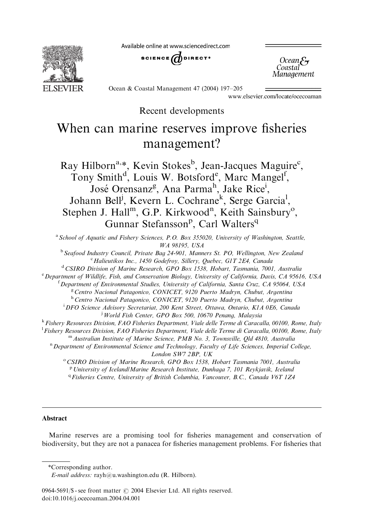Available online at www.sciencedirect.com



SCIENCE  $\omega$  direct<sup>®</sup>

Ocean  $\mathcal{E}_{\tau}$ coastal Management

Ocean & Coastal Management 47 (2004) 197–205

www.elsevier.com/locate/ocecoaman

Recent developments

# When can marine reserves improve fisheries management?

Ray Hilborn<sup>a,\*</sup>, Kevin Stokes<sup>b</sup>, Jean-Jacques Maguire<sup>c</sup>, Tony Smith<sup>d</sup>, Louis W. Botsforde, Marc Mangel<sup>f</sup>, José Orensanz<sup>g</sup>, Ana Parma<sup>h</sup>, Jake Rice<sup>i</sup>, Johann Bell<sup>j</sup>, Kevern L. Cochrane<sup>k</sup>, Serge Garcia<sup>l</sup>, Stephen J. Hall<sup>m</sup>, G.P. Kirkwood<sup>n</sup>, Keith Sainsbury<sup>o</sup>, Gunnar Stefansson<sup>p</sup>, Carl Walters<sup>q</sup>

<sup>a</sup> School of Aquatic and Fishery Sciences, P.O. Box 355020, University of Washington, Seattle, WA 98195, USA

<sup>b</sup> Seafood Industry Council, Private Bag 24-901, Manners St. PO, Wellington, New Zealand <sup>c</sup> Halieutikos Inc., 1450 Godefroy, Sillery, Quebec, G1T 2E4, Canada

<sup>d</sup> CSIRO Division of Marine Research, GPO Box 1538, Hobart, Tasmania, 7001, Australia

<sup>e</sup> Department of Wildlife, Fish, and Conservation Biology, University of California, Davis, CA 95616, USA

<sup>f</sup> Department of Environmental Studies, University of California, Santa Cruz, CA 95064, USA

<sup>g</sup> Centro Nacional Patagonico, CONICET, 9120 Puerto Madryn, Chubut, Argentina h Centro Nacional Patagonico, CONICET, 9120 Puerto Madryn, Chubut, Argentina

i DFO Science Advisory Secretariat, 200 Kent Street, Ottawa, Ontario, K1A 0E6, Canada

<sup>j</sup> World Fish Center, GPO Box 500, 10670 Penang, Malaysia

 $k$  Fishery Resources Division, FAO Fisheries Department, Viale delle Terme di Caracalla, 00100, Rome, Italy

l Fishery Resources Division, FAO Fisheries Department, Viale delle Terme di Caracalla, 00100, Rome, Italy

<sup>m</sup> Australian Institute of Marine Science, PMB No. 3, Townsville, Qld 4810, Australia

n Department of Environmental Science and Technology, Faculty of Life Sciences, Imperial College, London SW7 2BP, UK

<sup>o</sup> CSIRO Division of Marine Research, GPO Box 1538, Hobart Tasmania 7001, Australia <sup>p</sup>University of Iceland/Marine Research Institute, Dunhaga 7, 101 Reykjavik, Iceland  $qF$  Fisheries Centre, University of British Columbia, Vancouver, B.C., Canada V6T 1Z4

### Abstract

Marine reserves are a promising tool for fisheries management and conservation of biodiversity, but they are not a panacea for fisheries management problems. For fisheries that

0964-5691/\$ - see front matter  $\odot$  2004 Elsevier Ltd. All rights reserved. doi:10.1016/j.ocecoaman.2004.04.001

<sup>\*</sup>Corresponding author.

E-mail address:  $r \alpha \ln(a)$ u.washington.edu (R. Hilborn).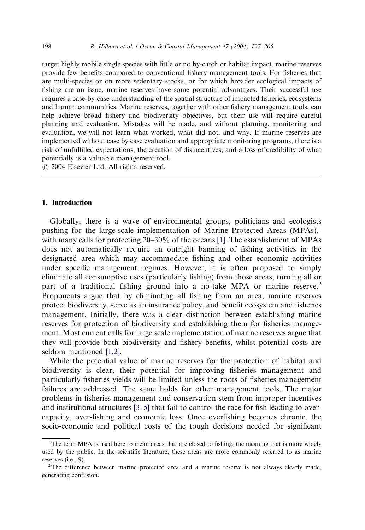target highly mobile single species with little or no by-catch or habitat impact, marine reserves provide few benefits compared to conventional fishery management tools. For fisheries that are multi-species or on more sedentary stocks, or for which broader ecological impacts of fishing are an issue, marine reserves have some potential advantages. Their successful use requires a case-by-case understanding of the spatial structure of impacted fisheries, ecosystems and human communities. Marine reserves, together with other fishery management tools, can help achieve broad fishery and biodiversity objectives, but their use will require careful planning and evaluation. Mistakes will be made, and without planning, monitoring and evaluation, we will not learn what worked, what did not, and why. If marine reserves are implemented without case by case evaluation and appropriate monitoring programs, there is a risk of unfulfilled expectations, the creation of disincentives, and a loss of credibility of what potentially is a valuable management tool.

 $\odot$  2004 Elsevier Ltd. All rights reserved.

## 1. Introduction

Globally, there is a wave of environmental groups, politicians and ecologists pushing for the large-scale implementation of Marine Protected Areas  $(MPAs)^1$ with many calls for protecting 20–30% of the oceans [\[1\].](#page-6-0) The establishment of MPAs does not automatically require an outright banning of fishing activities in the designated area which may accommodate fishing and other economic activities under specific management regimes. However, it is often proposed to simply eliminate all consumptive uses (particularly fishing) from those areas, turning all or part of a traditional fishing ground into a no-take MPA or marine reserve.<sup>2</sup> Proponents argue that by eliminating all fishing from an area, marine reserves protect biodiversity, serve as an insurance policy, and benefit ecosystem and fisheries management. Initially, there was a clear distinction between establishing marine reserves for protection of biodiversity and establishing them for fisheries management. Most current calls for large scale implementation of marine reserves argue that they will provide both biodiversity and fishery benefits, whilst potential costs are seldom mentioned [\[1,2\].](#page-6-0)

While the potential value of marine reserves for the protection of habitat and biodiversity is clear, their potential for improving fisheries management and particularly fisheries yields will be limited unless the roots of fisheries management failures are addressed. The same holds for other management tools. The major problems in fisheries management and conservation stem from improper incentives and institutional structures [\[3–5\]](#page-6-0) that fail to control the race for fish leading to overcapacity, over-fishing and economic loss. Once overfishing becomes chronic, the socio-economic and political costs of the tough decisions needed for significant

<sup>&</sup>lt;sup>1</sup>The term MPA is used here to mean areas that are closed to fishing, the meaning that is more widely used by the public. In the scientific literature, these areas are more commonly referred to as marine reserves (i.e., 9).

<sup>&</sup>lt;sup>2</sup>The difference between marine protected area and a marine reserve is not always clearly made, generating confusion.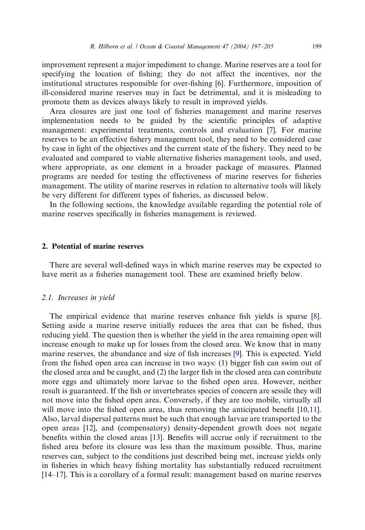improvement represent a major impediment to change. Marine reserves are a tool for specifying the location of fishing; they do not affect the incentives, nor the institutional structures responsible for over-fishing [\[6\].](#page-7-0) Furthermore, imposition of ill-considered marine reserves may in fact be detrimental, and it is misleading to promote them as devices always likely to result in improved yields.

Area closures are just one tool of fisheries management and marine reserves implementation needs to be guided by the scientific principles of adaptive management: experimental treatments, controls and evaluation [\[7\].](#page-7-0) For marine reserves to be an effective fishery management tool, they need to be considered case by case in light of the objectives and the current state of the fishery. They need to be evaluated and compared to viable alternative fisheries management tools, and used, where appropriate, as one element in a broader package of measures. Planned programs are needed for testing the effectiveness of marine reserves for fisheries management. The utility of marine reserves in relation to alternative tools will likely be very different for different types of fisheries, as discussed below.

In the following sections, the knowledge available regarding the potential role of marine reserves specifically in fisheries management is reviewed.

## 2. Potential of marine reserves

There are several well-defined ways in which marine reserves may be expected to have merit as a fisheries management tool. These are examined briefly below.

#### 2.1. Increases in yield

The empirical evidence that marine reserves enhance fish yields is sparse [\[8\].](#page-7-0) Setting aside a marine reserve initially reduces the area that can be fished, thus reducing yield. The question then is whether the yield in the area remaining open will increase enough to make up for losses from the closed area. We know that in many marine reserves, the abundance and size of fish increases [\[9\].](#page-7-0) This is expected. Yield from the fished open area can increase in two ways: (1) bigger fish can swim out of the closed area and be caught, and (2) the larger fish in the closed area can contribute more eggs and ultimately more larvae to the fished open area. However, neither result is guaranteed. If the fish or invertebrates species of concern are sessile they will not move into the fished open area. Conversely, if they are too mobile, virtually all will move into the fished open area, thus removing the anticipated benefit [\[10,11\].](#page-7-0) Also, larval dispersal patterns must be such that enough larvae are transported to the open areas [\[12\]](#page-7-0), and (compensatory) density-dependent growth does not negate benefits within the closed areas [\[13\]](#page-7-0). Benefits will accrue only if recruitment to the fished area before its closure was less than the maximum possible. Thus, marine reserves can, subject to the conditions just described being met, increase yields only in fisheries in which heavy fishing mortality has substantially reduced recruitment [\[14–17\]](#page-7-0). This is a corollary of a formal result: management based on marine reserves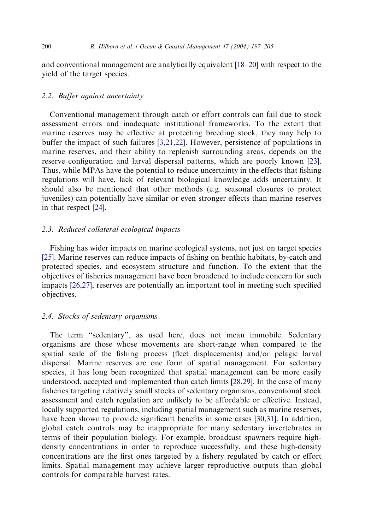and conventional management are analytically equivalent [\[18–20\]](#page-7-0) with respect to the yield of the target species.

## 2.2. Buffer against uncertainty

Conventional management through catch or effort controls can fail due to stock assessment errors and inadequate institutional frameworks. To the extent that marine reserves may be effective at protecting breeding stock, they may help to buffer the impact of such failures [\[3,21,22\].](#page-6-0) However, persistence of populations in marine reserves, and their ability to replenish surrounding areas, depends on the reserve configuration and larval dispersal patterns, which are poorly known [\[23\].](#page-7-0) Thus, while MPAs have the potential to reduce uncertainty in the effects that fishing regulations will have, lack of relevant biological knowledge adds uncertainty. It should also be mentioned that other methods (e.g. seasonal closures to protect juveniles) can potentially have similar or even stronger effects than marine reserves in that respect [\[24\]](#page-7-0).

## 2.3. Reduced collateral ecological impacts

Fishing has wider impacts on marine ecological systems, not just on target species [\[25\]](#page-7-0). Marine reserves can reduce impacts of fishing on benthic habitats, by-catch and protected species, and ecosystem structure and function. To the extent that the objectives of fisheries management have been broadened to include concern for such impacts [\[26,27\]](#page-7-0), reserves are potentially an important tool in meeting such specified objectives.

## 2.4. Stocks of sedentary organisms

The term ''sedentary'', as used here, does not mean immobile. Sedentary organisms are those whose movements are short-range when compared to the spatial scale of the fishing process (fleet displacements) and/or pelagic larval dispersal. Marine reserves are one form of spatial management. For sedentary species, it has long been recognized that spatial management can be more easily understood, accepted and implemented than catch limits [\[28,29\]](#page-8-0). In the case of many fisheries targeting relatively small stocks of sedentary organisms, conventional stock assessment and catch regulation are unlikely to be affordable or effective. Instead, locally supported regulations, including spatial management such as marine reserves, have been shown to provide significant benefits in some cases [\[30,31\].](#page-8-0) In addition, global catch controls may be inappropriate for many sedentary invertebrates in terms of their population biology. For example, broadcast spawners require highdensity concentrations in order to reproduce successfully, and these high-density concentrations are the first ones targeted by a fishery regulated by catch or effort limits. Spatial management may achieve larger reproductive outputs than global controls for comparable harvest rates.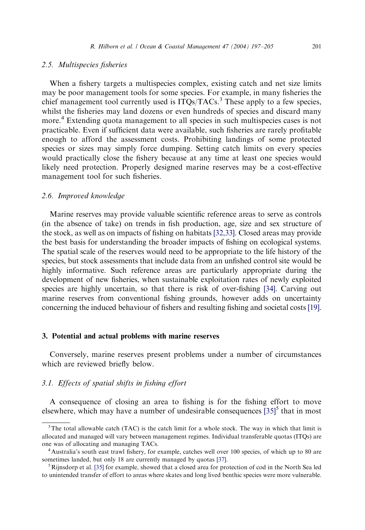## 2.5. Multispecies fisheries

When a fishery targets a multispecies complex, existing catch and net size limits may be poor management tools for some species. For example, in many fisheries the chief management tool currently used is  $ITQs/TACS$ <sup>3</sup>. These apply to a few species, whilst the fisheries may land dozens or even hundreds of species and discard many more.<sup>4</sup> Extending quota management to all species in such multispecies cases is not practicable. Even if sufficient data were available, such fisheries are rarely profitable enough to afford the assessment costs. Prohibiting landings of some protected species or sizes may simply force dumping. Setting catch limits on every species would practically close the fishery because at any time at least one species would likely need protection. Properly designed marine reserves may be a cost-effective management tool for such fisheries.

## 2.6. Improved knowledge

Marine reserves may provide valuable scientific reference areas to serve as controls (in the absence of take) on trends in fish production, age, size and sex structure of the stock, as well as on impacts of fishing on habitats [\[32,33\]](#page-8-0). Closed areas may provide the best basis for understanding the broader impacts of fishing on ecological systems. The spatial scale of the reserves would need to be appropriate to the life history of the species, but stock assessments that include data from an unfished control site would be highly informative. Such reference areas are particularly appropriate during the development of new fisheries, when sustainable exploitation rates of newly exploited species are highly uncertain, so that there is risk of over-fishing [\[34\]](#page-8-0). Carving out marine reserves from conventional fishing grounds, however adds on uncertainty concerning the induced behaviour of fishers and resulting fishing and societal costs [\[19\].](#page-7-0)

## 3. Potential and actual problems with marine reserves

Conversely, marine reserves present problems under a number of circumstances which are reviewed briefly below.

# 3.1. Effects of spatial shifts in fishing effort

A consequence of closing an area to fishing is for the fishing effort to move elsewhere, which may have a number of undesirable consequences  $[35]$ <sup>5</sup> that in most

<sup>&</sup>lt;sup>3</sup>The total allowable catch (TAC) is the catch limit for a whole stock. The way in which that limit is allocated and managed will vary between management regimes. Individual transferable quotas (ITQs) are one was of allocating and managing TACs.

<sup>&</sup>lt;sup>4</sup>Australia's south east trawl fishery, for example, catches well over 100 species, of which up to 80 are sometimes landed, but only 18 are currently managed by quotas [\[37\]](#page-8-0).

<sup>&</sup>lt;sup>5</sup> Rijnsdorp et al. [\[35\]](#page-8-0) for example, showed that a closed area for protection of cod in the North Sea led to unintended transfer of effort to areas where skates and long lived benthic species were more vulnerable.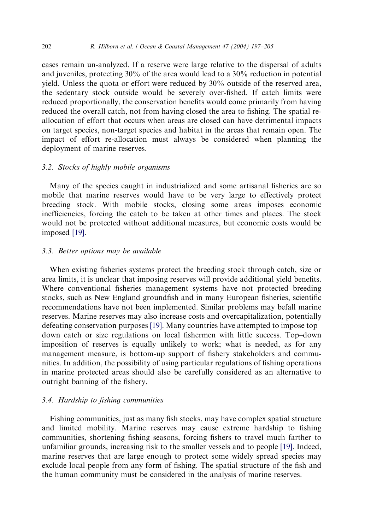cases remain un-analyzed. If a reserve were large relative to the dispersal of adults and juveniles, protecting 30% of the area would lead to a 30% reduction in potential yield. Unless the quota or effort were reduced by 30% outside of the reserved area, the sedentary stock outside would be severely over-fished. If catch limits were reduced proportionally, the conservation benefits would come primarily from having reduced the overall catch, not from having closed the area to fishing. The spatial reallocation of effort that occurs when areas are closed can have detrimental impacts on target species, non-target species and habitat in the areas that remain open. The impact of effort re-allocation must always be considered when planning the deployment of marine reserves.

## 3.2. Stocks of highly mobile organisms

Many of the species caught in industrialized and some artisanal fisheries are so mobile that marine reserves would have to be very large to effectively protect breeding stock. With mobile stocks, closing some areas imposes economic inefficiencies, forcing the catch to be taken at other times and places. The stock would not be protected without additional measures, but economic costs would be imposed [\[19\]](#page-7-0).

# 3.3. Better options may be available

When existing fisheries systems protect the breeding stock through catch, size or area limits, it is unclear that imposing reserves will provide additional yield benefits. Where conventional fisheries management systems have not protected breeding stocks, such as New England groundfish and in many European fisheries, scientific recommendations have not been implemented. Similar problems may befall marine reserves. Marine reserves may also increase costs and overcapitalization, potentially defeating conservation purposes [\[19\].](#page-7-0) Many countries have attempted to impose top– down catch or size regulations on local fishermen with little success. Top–down imposition of reserves is equally unlikely to work; what is needed, as for any management measure, is bottom-up support of fishery stakeholders and communities. In addition, the possibility of using particular regulations of fishing operations in marine protected areas should also be carefully considered as an alternative to outright banning of the fishery.

## 3.4. Hardship to fishing communities

Fishing communities, just as many fish stocks, may have complex spatial structure and limited mobility. Marine reserves may cause extreme hardship to fishing communities, shortening fishing seasons, forcing fishers to travel much farther to unfamiliar grounds, increasing risk to the smaller vessels and to people [\[19\]](#page-7-0). Indeed, marine reserves that are large enough to protect some widely spread species may exclude local people from any form of fishing. The spatial structure of the fish and the human community must be considered in the analysis of marine reserves.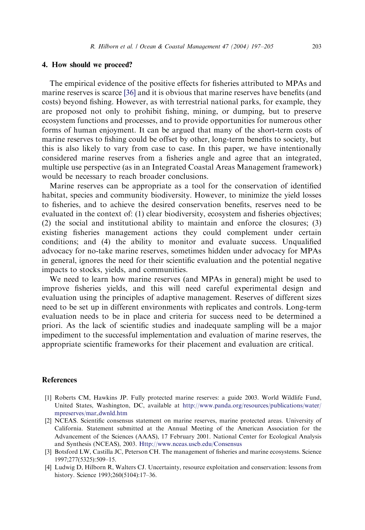## <span id="page-6-0"></span>4. How should we proceed?

The empirical evidence of the positive effects for fisheries attributed to MPAs and marine reserves is scarce [\[36\]](#page-8-0) and it is obvious that marine reserves have benefits (and costs) beyond fishing. However, as with terrestrial national parks, for example, they are proposed not only to prohibit fishing, mining, or dumping, but to preserve ecosystem functions and processes, and to provide opportunities for numerous other forms of human enjoyment. It can be argued that many of the short-term costs of marine reserves to fishing could be offset by other, long-term benefits to society, but this is also likely to vary from case to case. In this paper, we have intentionally considered marine reserves from a fisheries angle and agree that an integrated, multiple use perspective (as in an Integrated Coastal Areas Management framework) would be necessary to reach broader conclusions.

Marine reserves can be appropriate as a tool for the conservation of identified habitat, species and community biodiversity. However, to minimize the yield losses to fisheries, and to achieve the desired conservation benefits, reserves need to be evaluated in the context of: (1) clear biodiversity, ecosystem and fisheries objectives; (2) the social and institutional ability to maintain and enforce the closures; (3) existing fisheries management actions they could complement under certain conditions; and (4) the ability to monitor and evaluate success. Unqualified advocacy for no-take marine reserves, sometimes hidden under advocacy for MPAs in general, ignores the need for their scientific evaluation and the potential negative impacts to stocks, yields, and communities.

We need to learn how marine reserves (and MPAs in general) might be used to improve fisheries yields, and this will need careful experimental design and evaluation using the principles of adaptive management. Reserves of different sizes need to be set up in different environments with replicates and controls. Long-term evaluation needs to be in place and criteria for success need to be determined a priori. As the lack of scientific studies and inadequate sampling will be a major impediment to the successful implementation and evaluation of marine reserves, the appropriate scientific frameworks for their placement and evaluation are critical.

## **References**

- [1] Roberts CM, Hawkins JP. Fully protected marine reserves: a guide 2003. World Wildlife Fund, United States, Washington, DC, available at [http://www.panda.org/resources/publications/water/](http://www.panda.org/resources/publications/water/mpreserves/mar_dwnld.htm) [mpreserves/mar](http://www.panda.org/resources/publications/water/mpreserves/mar_dwnld.htm) [dwnld.htm](http://www.panda.org/resources/publications/water/mpreserves/mar_dwnld.htm)
- [2] NCEAS. Scientific consensus statement on marine reserves, marine protected areas. University of California. Statement submitted at the Annual Meeting of the American Association for the Advancement of the Sciences (AAAS), 17 February 2001. National Center for Ecological Analysis and Synthesis (NCEAS), 2003. [Http://www.nceas.uscb.edu/Consensus](http://Http://www.nceas.uscb.edu/Consensus)
- [3] Botsford LW, Castilla JC, Peterson CH. The management of fisheries and marine ecosystems. Science 1997;277(5325):509–15.
- [4] Ludwig D, Hilborn R, Walters CJ. Uncertainty, resource exploitation and conservation: lessons from history. Science 1993;260(5104):17–36.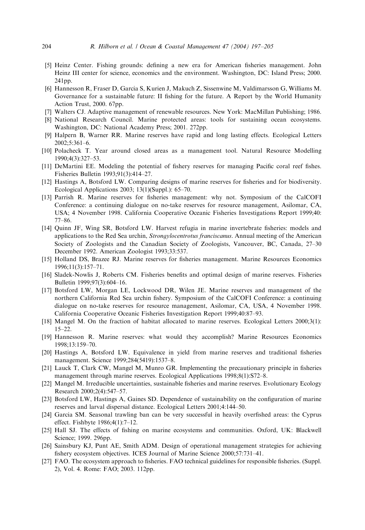- <span id="page-7-0"></span>[5] Heinz Center. Fishing grounds: defining a new era for American fisheries management. John Heinz III center for science, economics and the environment. Washington, DC: Island Press; 2000. 241pp.
- [6] Hannesson R, Fraser D, Garcia S, Kurien J, Makuch Z, Sissenwine M, Valdimarsson G, Williams M. Governance for a sustainable future: II fishing for the future. A Report by the World Humanity Action Trust, 2000. 67pp.
- [7] Walters CJ. Adaptive management of renewable resources. New York: MacMillan Publishing; 1986.
- [8] National Research Council. Marine protected areas: tools for sustaining ocean ecosystems. Washington, DC: National Academy Press; 2001. 272pp.
- [9] Halpern B, Warner RR. Marine reserves have rapid and long lasting effects. Ecological Letters 2002;5:361–6.
- [10] Polacheck T. Year around closed areas as a management tool. Natural Resource Modelling 1990;4(3):327–53.
- [11] DeMartini EE. Modeling the potential of fishery reserves for managing Pacific coral reef fishes. Fisheries Bulletin 1993;91(3):414–27.
- [12] Hastings A, Botsford LW. Comparing designs of marine reserves for fisheries and for biodiversity. Ecological Applications 2003; 13(1)(Suppl.): 65–70.
- [13] Parrish R. Marine reserves for fisheries management: why not. Symposium of the CalCOFI Conference: a continuing dialogue on no-take reserves for resource management, Asilomar, CA, USA; 4 November 1998. California Cooperative Oceanic Fisheries Investigations Report 1999;40: 77–86.
- [14] Quinn JF, Wing SR, Botsford LW. Harvest refugia in marine invertebrate fisheries: models and applications to the Red Sea urchin, *Strongylocentrotus franciscanus*. Annual meeting of the American Society of Zoologists and the Canadian Society of Zoologists, Vancouver, BC, Canada, 27–30 December 1992. American Zoologist 1993;33:537.
- [15] Holland DS, Brazee RJ. Marine reserves for fisheries management. Marine Resources Economics 1996;11(3):157–71.
- [16] Sladek-Nowlis J, Roberts CM. Fisheries benefits and optimal design of marine reserves. Fisheries Bulletin 1999;97(3):604–16.
- [17] Botsford LW, Morgan LE, Lockwood DR, Wilen JE. Marine reserves and management of the northern California Red Sea urchin fishery. Symposium of the CalCOFI Conference: a continuing dialogue on no-take reserves for resource management, Asilomar, CA, USA, 4 November 1998. California Cooperative Oceanic Fisheries Investigation Report 1999;40:87–93.
- [18] Mangel M. On the fraction of habitat allocated to marine reserves. Ecological Letters 2000;3(1): 15–22.
- [19] Hannesson R. Marine reserves: what would they accomplish? Marine Resources Economics 1998;13:159–70.
- [20] Hastings A, Botsford LW. Equivalence in yield from marine reserves and traditional fisheries management. Science 1999;284(5419):1537–8.
- [21] Lauck T, Clark CW, Mangel M, Munro GR. Implementing the precautionary principle in fisheries management through marine reserves. Ecological Applications 1998;8(1):S72–8.
- [22] Mangel M. Irreducible uncertainties, sustainable fisheries and marine reserves. Evolutionary Ecology Research 2000;2(4):547–57.
- [23] Botsford LW, Hastings A, Gaines SD. Dependence of sustainability on the configuration of marine reserves and larval dispersal distance. Ecological Letters 2001;4:144–50.
- [24] Garcia SM. Seasonal trawling ban can be very successful in heavily overfished areas: the Cyprus effect. Fishbyte 1986;4(1):7–12.
- [25] Hall SJ. The effects of fishing on marine ecosystems and communities. Oxford, UK: Blackwell Science; 1999. 296pp.
- [26] Sainsbury KJ, Punt AE, Smith ADM. Design of operational management strategies for achieving fishery ecosystem objectives. ICES Journal of Marine Science 2000;57:731–41.
- [27] FAO. The ecosystem approach to fisheries. FAO technical guidelines for responsible fisheries. (Suppl. 2), Vol. 4. Rome: FAO; 2003. 112pp.